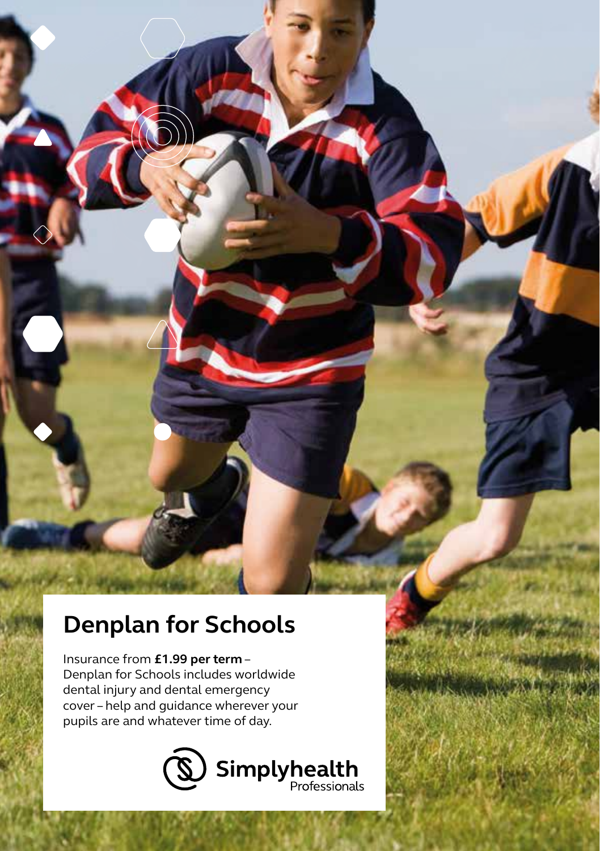# **Denplan for Schools**

Insurance from **£1.99 per term** – Denplan for Schools includes worldwide dental injury and dental emergency cover – help and guidance wherever your pupils are and whatever time of day.

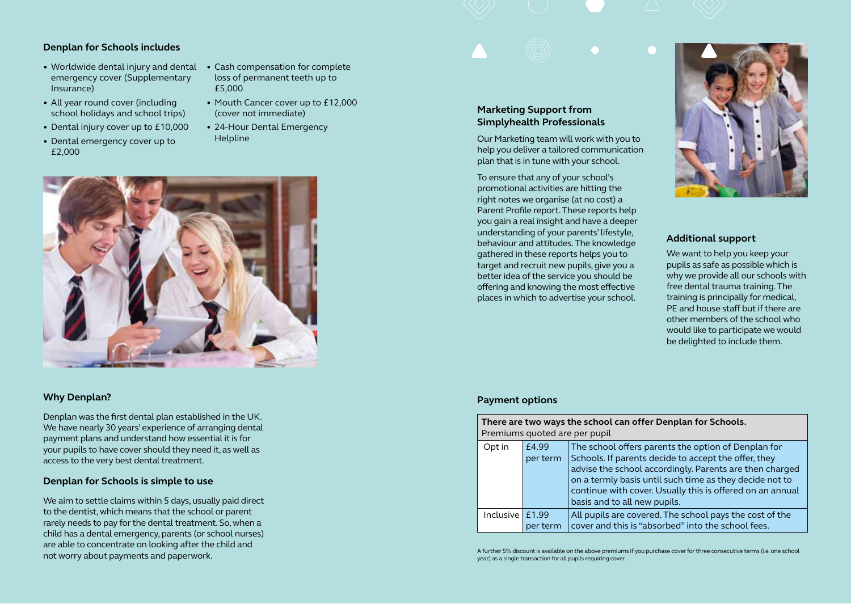# **Denplan for Schools includes**

- Worldwide dental injury and dental emergency cover (Supplementary Insurance)
- All year round cover (including school holidays and school trips)
- Dental injury cover up to £10,000
- Dental emergency cover up to £2,000
- Cash compensation for complete loss of permanent teeth up to £5,000
- Mouth Cancer cover up to £12,000 (cover not immediate)
- 24-Hour Dental Emergency Helpline



## **Why Denplan?**

Denplan was the first dental plan established in the UK. We have nearly 30 years' experience of arranging dental payment plans and understand how essential it is for your pupils to have cover should they need it, as well as access to the very best dental treatment.

#### **Denplan for Schools is simple to use**

We aim to settle claims within 5 days, usually paid direct to the dentist, which means that the school or parent rarely needs to pay for the dental treatment. So, when a child has a dental emergency, parents (or school nurses) are able to concentrate on looking after the child and not worry about payments and paperwork.

## **Marketing Support from Simplyhealth Professionals**

Our Marketing team will work with you to help you deliver a tailored communication plan that is in tune with your school.

To ensure that any of your school's promotional activities are hitting the right notes we organise (at no cost) a Parent Profile report. These reports help you gain a real insight and have a deeper understanding of your parents' lifestyle, behaviour and attitudes. The knowledge gathered in these reports helps you to target and recruit new pupils, give you a better idea of the service you should be offering and knowing the most effective places in which to advertise your school.



# **Additional support**

We want to help you keep your pupils as safe as possible which is why we provide all our schools with free dental trauma training. The training is principally for medical, PE and house staff but if there are other members of the school who would like to participate we would be delighted to include them.

#### **Payment options**

| There are two ways the school can offer Denplan for Schools.<br>Premiums quoted are per pupil |          |                                                           |
|-----------------------------------------------------------------------------------------------|----------|-----------------------------------------------------------|
| Opt in                                                                                        | £4.99    | The school offers parents the option of Denplan for       |
|                                                                                               | per term | Schools. If parents decide to accept the offer, they      |
|                                                                                               |          | advise the school accordingly. Parents are then charged   |
|                                                                                               |          | on a termly basis until such time as they decide not to   |
|                                                                                               |          | continue with cover. Usually this is offered on an annual |
|                                                                                               |          | basis and to all new pupils.                              |
| Inclusive $f1.99$                                                                             |          | All pupils are covered. The school pays the cost of the   |
|                                                                                               | per term | cover and this is "absorbed" into the school fees.        |

A further 5% discount is available on the above premiums if you purchase cover for three consecutive terms (i.e. one school year) as a single transaction for all pupils requiring cover.